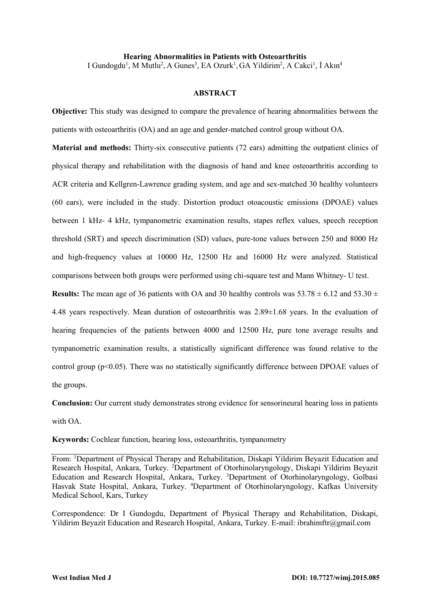**Hearing Abnormalities in Patients with Osteoarthritis** I Gundogdu<sup>1</sup>, M Mutlu<sup>2</sup>, A Gunes<sup>3</sup>, EA Ozurk<sup>1</sup>, GA Yildirim<sup>2</sup>, A Cakci<sup>1</sup>, İ Akın<sup>4</sup>

#### **ABSTRACT**

**Objective:** This study was designed to compare the prevalence of hearing abnormalities between the patients with osteoarthritis (OA) and an age and gender-matched control group without OA.

**Material and methods:** Thirty-six consecutive patients (72 ears) admitting the outpatient clinics of physical therapy and rehabilitation with the diagnosis of hand and knee osteoarthritis according to ACR criteria and Kellgren-Lawrence grading system, and age and sex-matched 30 healthy volunteers (60 ears), were included in the study. Distortion product otoacoustic emissions (DPOAE) values between 1 kHz- 4 kHz, tympanometric examination results, stapes reflex values, speech reception threshold (SRT) and speech discrimination (SD) values, pure-tone values between 250 and 8000 Hz and high-frequency values at 10000 Hz, 12500 Hz and 16000 Hz were analyzed. Statistical comparisons between both groups were performed using chi-square test and Mann Whitney- U test.

**Results:** The mean age of 36 patients with OA and 30 healthy controls was  $53.78 \pm 6.12$  and  $53.30 \pm 2.5$ 4.48 years respectively. Mean duration of osteoarthritis was 2.89±1.68 years. In the evaluation of hearing frequencies of the patients between 4000 and 12500 Hz, pure tone average results and tympanometric examination results, a statistically significant difference was found relative to the control group (p<0.05). There was no statistically significantly difference between DPOAE values of the groups.

**Conclusion:** Our current study demonstrates strong evidence for sensorineural hearing loss in patients with OA.

**Keywords:** Cochlear function, hearing loss, osteoarthritis, tympanometry

From: <sup>1</sup>Department of Physical Therapy and Rehabilitation, Diskapi Yildirim Beyazit Education and Research Hospital, Ankara, Turkey. <sup>2</sup>Department of Otorhinolaryngology, Diskapi Yildirim Beyazit Education and Research Hospital, Ankara, Turkey. <sup>3</sup>Department of Otorhinolaryngology, Golbasi Hasvak State Hospital, Ankara, Turkey. <sup>4</sup>Department of Otorhinolaryngology, Kafkas University Medical School, Kars, Turkey

Correspondence: Dr I Gundogdu, Department of Physical Therapy and Rehabilitation, Diskapi, Yildirim Beyazit Education and Research Hospital, Ankara, Turkey. E-mail[: ibrahimftr@gmail.com](mailto:ibrahimftr@gmail.com)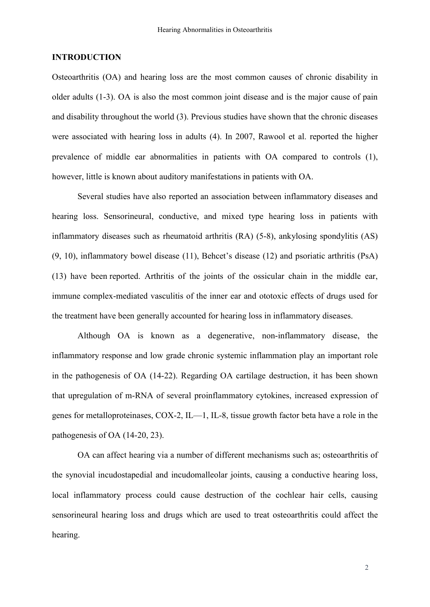### **INTRODUCTION**

Osteoarthritis (OA) and hearing loss are the most common causes of chronic disability in older adults (1-3). OA is also the most common joint disease and is the major cause of pain and disability throughout the world (3). Previous studies have shown that the chronic diseases were associated with hearing loss in adults (4). In 2007, [Rawool e](http://www.ncbi.nlm.nih.gov/pubmed/?term=Rawool%20VW%5BAuthor%5D&cauthor=true&cauthor_uid=17264476)t al. reported the higher prevalence of middle ear abnormalities in patients with OA compared to controls (1), however, little is known about auditory manifestations in patients with OA.

Several studies have also reported an association between inflammatory diseases and hearing loss. Sensorineural, conductive, and mixed type hearing loss in patients with inflammatory diseases such as rheumatoid arthritis (RA) (5-8), ankylosing spondylitis (AS) (9, 10), inflammatory bowel disease (11), Behcet's disease (12) and psoriatic arthritis (PsA) (13) have been reported. Arthritis of the joints of the ossicular chain in the middle ear, immune complex-mediated vasculitis of the inner ear and ototoxic effects of drugs used for the treatment have been generally accounted for hearing loss in inflammatory diseases.

Although OA is known as a degenerative, non-inflammatory disease, the inflammatory response and low grade chronic systemic inflammation play an important role in the pathogenesis of OA (14-22). Regarding OA cartilage destruction, it has been shown that upregulation of m-RNA of several proinflammatory cytokines, increased expression of genes for metalloproteinases, COX-2, IL—1, IL-8, tissue growth factor beta have a role in the pathogenesis of OA (14-20, 23).

OA can affect hearing via a number of different mechanisms such as; osteoarthritis of the synovial incudostapedial and incudomalleolar joints, causing a conductive hearing loss, local inflammatory process could cause destruction of the cochlear hair cells, causing sensorineural hearing loss and drugs which are used to treat osteoarthritis could affect the hearing.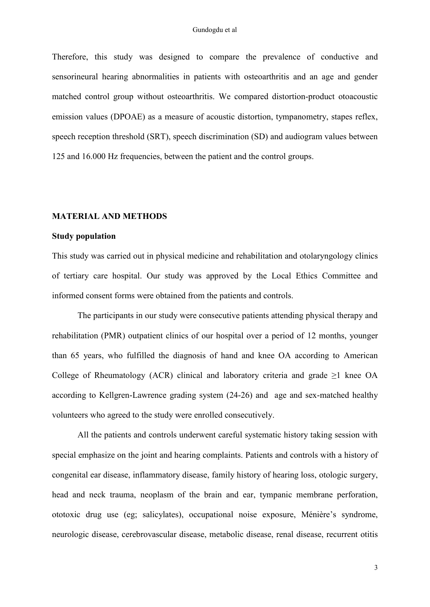Therefore, this study was designed to compare the prevalence of conductive and sensorineural hearing abnormalities in patients with osteoarthritis and an age and gender matched control group without osteoarthritis. We compared distortion-product otoacoustic emission values (DPOAE) as a measure of acoustic distortion, tympanometry, stapes reflex, speech reception threshold (SRT), speech discrimination (SD) and audiogram values between 125 and 16.000 Hz frequencies, between the patient and the control groups.

### **MATERIAL AND METHODS**

### **Study population**

This study was carried out in physical medicine and rehabilitation and otolaryngology clinics of tertiary care hospital. Our study was approved by the Local Ethics Committee and informed consent forms were obtained from the patients and controls.

The participants in our study were consecutive patients attending physical therapy and rehabilitation (PMR) outpatient clinics of our hospital over a period of 12 months, younger than 65 years, who fulfilled the diagnosis of hand and knee OA according to American College of Rheumatology (ACR) clinical and laboratory criteria and grade  $\geq 1$  knee OA according to Kellgren-Lawrence grading system (24-26) and age and sex-matched healthy volunteers who agreed to the study were enrolled consecutively.

All the patients and controls underwent careful systematic history taking session with special emphasize on the joint and hearing complaints. Patients and controls with a history of congenital ear disease, inflammatory disease, family history of hearing loss, otologic surgery, head and neck trauma, neoplasm of the brain and ear, tympanic membrane perforation, ototoxic drug use (eg; salicylates), occupational noise exposure, Ménière's syndrome, neurologic disease, cerebrovascular disease, metabolic disease, renal disease, recurrent otitis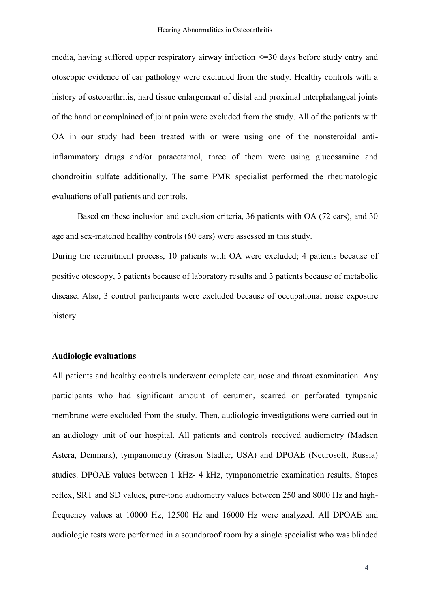media, having suffered upper respiratory airway infection <=30 days before study entry and otoscopic evidence of ear pathology were excluded from the study. Healthy controls with a history of osteoarthritis, hard tissue enlargement of distal and proximal interphalangeal joints of the hand or complained of joint pain were excluded from the study. All of the patients with OA in our study had been treated with or were using one of the nonsteroidal antiinflammatory drugs and/or paracetamol, three of them were using glucosamine and chondroitin sulfate additionally. The same PMR specialist performed the rheumatologic evaluations of all patients and controls.

Based on these inclusion and exclusion criteria, 36 patients with OA (72 ears), and 30 age and sex-matched healthy controls (60 ears) were assessed in this study.

During the recruitment process, 10 patients with OA were excluded; 4 patients because of positive otoscopy, 3 patients because of laboratory results and 3 patients because of metabolic disease. Also, 3 control participants were excluded because of occupational noise exposure history.

### **Audiologic evaluations**

All patients and healthy controls underwent complete ear, nose and throat examination. Any participants who had significant amount of cerumen, scarred or perforated tympanic membrane were excluded from the study. Then, audiologic investigations were carried out in an audiology unit of our hospital. All patients and controls received audiometry (Madsen Astera, Denmark), tympanometry (Grason Stadler, USA) and DPOAE (Neurosoft, Russia) studies. DPOAE values between 1 kHz- 4 kHz, tympanometric examination results, Stapes reflex, SRT and SD values, pure-tone audiometry values between 250 and 8000 Hz and highfrequency values at 10000 Hz, 12500 Hz and 16000 Hz were analyzed. All DPOAE and audiologic tests were performed in a soundproof room by a single specialist who was blinded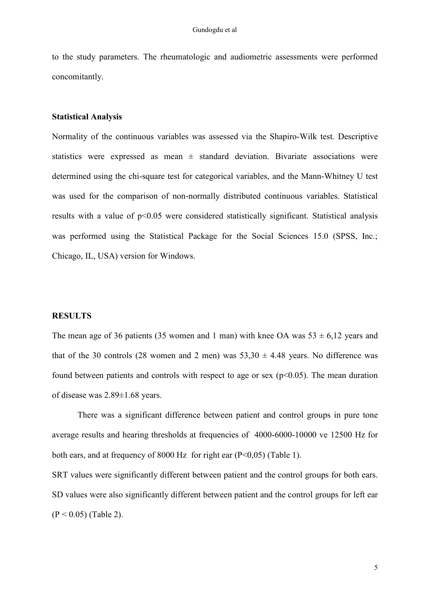to the study parameters. The rheumatologic and audiometric assessments were performed concomitantly.

### **Statistical Analysis**

Normality of the continuous variables was assessed via the Shapiro-Wilk test. Descriptive statistics were expressed as mean  $\pm$  standard deviation. Bivariate associations were determined using the chi-square test for categorical variables, and the Mann-Whitney U test was used for the comparison of non-normally distributed continuous variables. Statistical results with a value of p<0.05 were considered statistically significant. Statistical analysis was performed using the Statistical Package for the Social Sciences 15.0 (SPSS, Inc.; Chicago, IL, USA) version for Windows.

### **RESULTS**

The mean age of 36 patients (35 women and 1 man) with knee OA was  $53 \pm 6.12$  years and that of the 30 controls (28 women and 2 men) was  $53,30 \pm 4.48$  years. No difference was found between patients and controls with respect to age or sex  $(p<0.05)$ . The mean duration of disease was 2.89±1.68 years.

There was a significant difference between patient and control groups in pure tone average results and hearing thresholds at frequencies of 4000-6000-10000 ve 12500 Hz for both ears, and at frequency of 8000 Hz for right ear  $(P<0.05)$  (Table 1).

SRT values were significantly different between patient and the control groups for both ears. SD values were also significantly different between patient and the control groups for left ear  $(P < 0.05)$  (Table 2).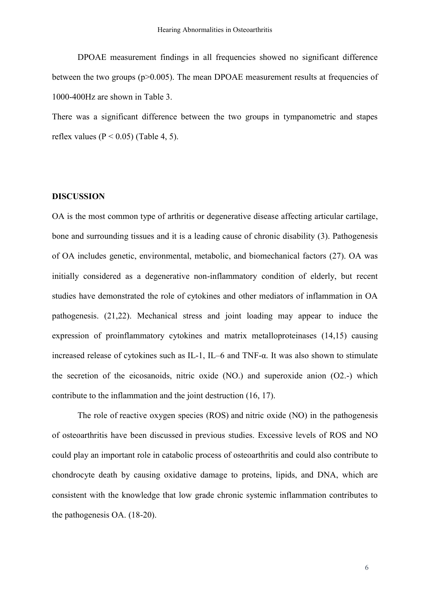DPOAE measurement findings in all frequencies showed no significant difference between the two groups (p>0.005). The mean DPOAE measurement results at frequencies of 1000-400Hz are shown in Table 3.

There was a significant difference between the two groups in tympanometric and stapes reflex values ( $P < 0.05$ ) (Table 4, 5).

### **DISCUSSION**

OA is the most common type of arthritis or degenerative disease affecting articular cartilage, bone and surrounding tissues and it is a leading cause of chronic disability (3). Pathogenesis of OA includes genetic, environmental, metabolic, and biomechanical factors (27). OA was initially considered as a degenerative non-inflammatory condition of elderly, but recent studies have demonstrated the role of cytokines and other mediators of inflammation in OA pathogenesis. (21,22). Mechanical stress and joint loading may appear to induce the expression of proinflammatory cytokines and matrix metalloproteinases (14,15) causing increased release of cytokines such as IL-1, IL–6 and TNF-α. It was also shown to stimulate the secretion of the eicosanoids, nitric oxide (NO.) and superoxide anion (O2.-) which contribute to the inflammation and the joint destruction (16, 17).

The role of reactive oxygen species (ROS) and nitric oxide (NO) in the pathogenesis of osteoarthritis have been discussed in previous studies. Excessive levels of ROS and NO could play an important role in catabolic process of osteoarthritis and could also contribute to chondrocyte death by causing oxidative damage to proteins, lipids, and DNA, which are consistent with the knowledge that low grade chronic systemic inflammation contributes to the pathogenesis OA. (18-20).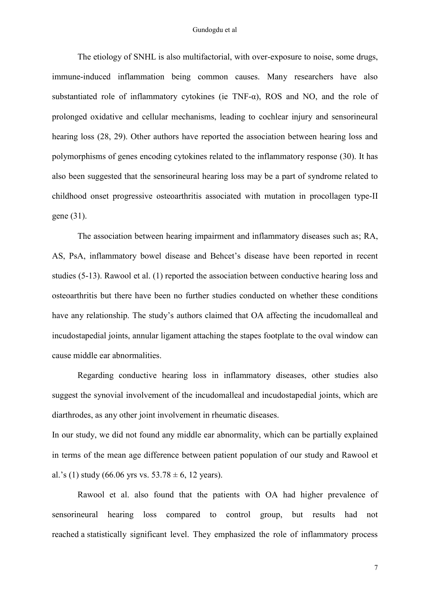#### Gundogdu et al

The etiology of SNHL is also multifactorial, with over-exposure to noise, some drugs, immune-induced inflammation being common causes. Many researchers have also substantiated role of inflammatory cytokines (ie TNF- $\alpha$ ), ROS and NO, and the role of prolonged oxidative and cellular mechanisms, leading to cochlear injury and sensorineural hearing loss (28, 29). Other authors have reported the association between hearing loss and polymorphisms of genes encoding cytokines related to the inflammatory response (30). It has also been suggested that the sensorineural hearing loss may be a part of syndrome related to childhood onset progressive osteoarthritis associated with mutation in procollagen type-II gene (31).

The association between hearing impairment and inflammatory diseases such as; RA, AS, PsA, inflammatory bowel disease and Behcet's disease have been reported in recent studies (5-13). [Rawool e](http://www.ncbi.nlm.nih.gov/pubmed/?term=Rawool%20VW%5BAuthor%5D&cauthor=true&cauthor_uid=17264476)t al. (1) reported the association between conductive hearing loss and osteoarthritis but there have been no further studies conducted on whether these conditions have any relationship. The study's authors claimed that OA affecting the incudomalleal and incudostapedial joints, annular ligament attaching the stapes footplate to the oval window can cause middle ear abnormalities.

Regarding conductive hearing loss in inflammatory diseases, other studies also suggest the synovial involvement of the incudomalleal and incudostapedial joints, which are diarthrodes, as any other joint involvement in rheumatic diseases.

In our study, we did not found any middle ear abnormality, which can be partially explained in terms of the mean age difference between patient population of our study and Rawool et al.'s (1) study (66.06 yrs vs.  $53.78 \pm 6$ , 12 years).

Rawool et al. also found that the patients with OA had higher prevalence of sensorineural hearing loss compared to control group, but results had not reached a statistically significant level. They emphasized the role of inflammatory process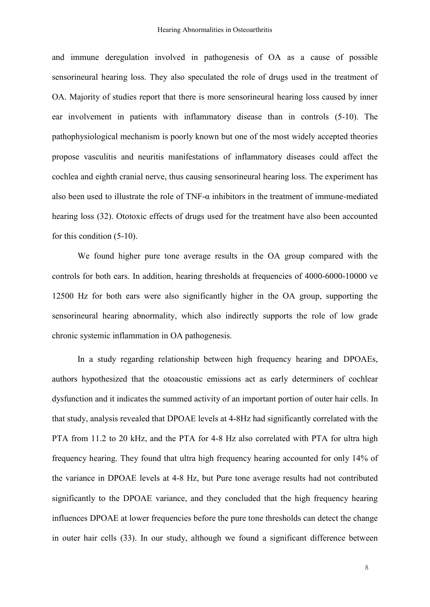and immune deregulation involved in pathogenesis of OA as a cause of possible sensorineural hearing loss. They also speculated the role of drugs used in the treatment of OA. Majority of studies report that there is more sensorineural hearing loss caused by inner ear involvement in patients with inflammatory disease than in controls (5-10). The pathophysiological mechanism is poorly known but one of the most widely accepted theories propose vasculitis and neuritis manifestations of inflammatory diseases could affect the cochlea and eighth cranial nerve, thus causing sensorineural hearing loss. The experiment has also been used to illustrate the role of TNF- $\alpha$  inhibitors in the treatment of immune-mediated hearing loss (32). Ototoxic effects of drugs used for the treatment have also been accounted for this condition (5-10).

We found higher pure tone average results in the OA group compared with the controls for both ears. In addition, hearing thresholds at frequencies of 4000-6000-10000 ve 12500 Hz for both ears were also significantly higher in the OA group, supporting the sensorineural hearing abnormality, which also indirectly supports the role of low grade chronic systemic inflammation in OA pathogenesis.

In a study regarding relationship between high frequency hearing and DPOAEs, authors hypothesized that the otoacoustic emissions act as early determiners of cochlear dysfunction and it indicates the summed activity of an important portion of outer hair cells. In that study, analysis revealed that DPOAE levels at 4-8Hz had significantly correlated with the PTA from 11.2 to 20 kHz, and the PTA for 4-8 Hz also correlated with PTA for ultra high frequency hearing. They found that ultra high frequency hearing accounted for only 14% of the variance in DPOAE levels at 4-8 Hz, but Pure tone average results had not contributed significantly to the DPOAE variance, and they concluded that the high frequency hearing influences DPOAE at lower frequencies before the pure tone thresholds can detect the change in outer hair cells (33). In our study, although we found a significant difference between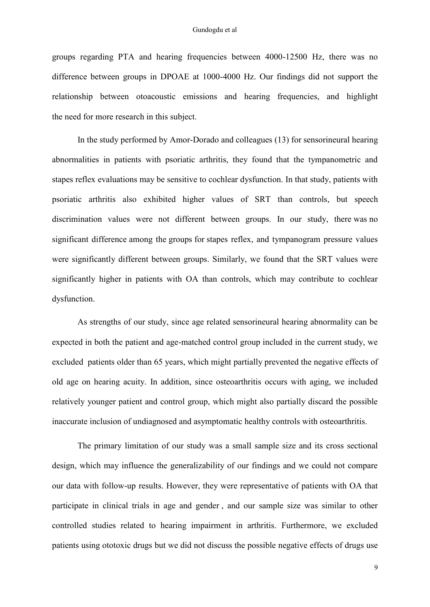groups regarding PTA and hearing frequencies between 4000-12500 Hz, there was no difference between groups in DPOAE at 1000-4000 Hz. Our findings did not support the relationship between otoacoustic emissions and hearing frequencies, and highlight the need for more research in this subject.

In the study performed by Amor-Dorado and colleagues (13) for sensorineural hearing abnormalities in patients with psoriatic arthritis, they found that the tympanometric and stapes reflex evaluations may be sensitive to cochlear dysfunction. In that study, patients with psoriatic arthritis also exhibited higher values of SRT than controls, but speech discrimination values were not different between groups. In our study, there was no significant difference among the groups for stapes reflex, and tympanogram pressure values were significantly different between groups. Similarly, we found that the SRT values were significantly higher in patients with OA than controls, which may contribute to cochlear dysfunction.

As strengths of our study, since age related sensorineural hearing abnormality can be expected in both the patient and age-matched control group included in the current study, we excluded patients older than 65 years, which might partially prevented the negative effects of old age on hearing acuity. In addition, since osteoarthritis occurs with aging, we included relatively younger patient and control group, which might also partially discard the possible inaccurate inclusion of undiagnosed and asymptomatic healthy controls with osteoarthritis.

The primary limitation of our study was a small sample size and its cross sectional design, which may influence the generalizability of our findings and we could not compare our data with follow-up results. However, they were representative of patients with OA that participate in clinical trials in age and gender , and our sample size was similar to other controlled studies related to hearing impairment in arthritis. Furthermore, we excluded patients using ototoxic drugs but we did not discuss the possible negative effects of drugs use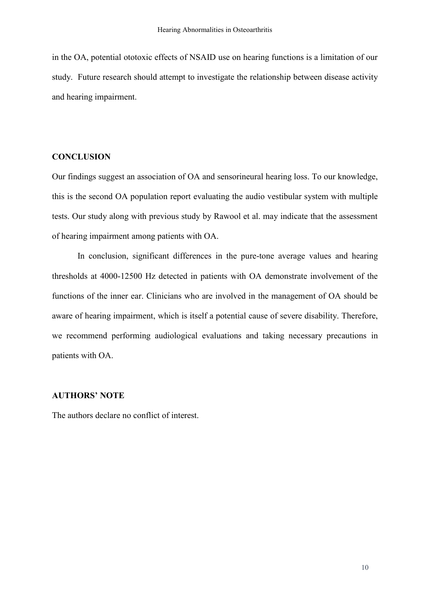in the OA, potential ototoxic effects of NSAID use on hearing functions is a limitation of our study. Future research should attempt to investigate the relationship between disease activity and hearing impairment.

### **CONCLUSION**

Our findings suggest an association of OA and sensorineural hearing loss. To our knowledge, this is the second OA population report evaluating the audio vestibular system with multiple tests. Our study along with previous study by Rawool et al. may indicate that the assessment of hearing impairment among patients with OA.

In conclusion, significant differences in the pure-tone average values and hearing thresholds at 4000-12500 Hz detected in patients with OA demonstrate involvement of the functions of the inner ear. Clinicians who are involved in the management of OA should be aware of hearing impairment, which is itself a potential cause of severe disability. Therefore, we recommend performing audiological evaluations and taking necessary precautions in patients with OA.

### **AUTHORS' NOTE**

The authors declare no conflict of interest.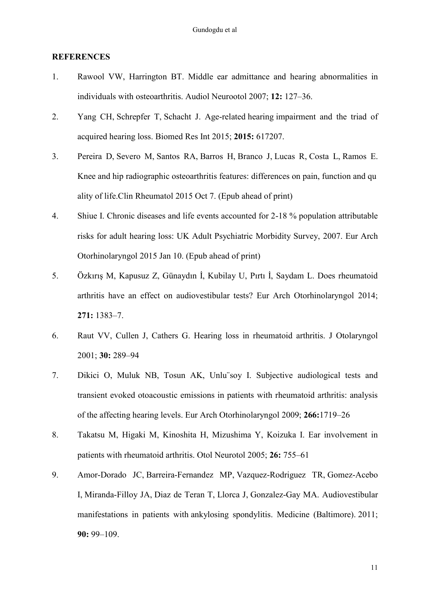### **REFERENCES**

- 1. Rawool VW, [Harrington BT.](http://www.ncbi.nlm.nih.gov/pubmed/?term=Harrington%20BT%5BAuthor%5D&cauthor=true&cauthor_uid=17264476) Middle ear admittance and hearing abnormalities in individuals with osteoarthritis. [Audiol Neurootol](http://www.ncbi.nlm.nih.gov/pubmed/17264476) 2007; **12:** 127–36.
- 2. [Yang CH,](http://www.ncbi.nlm.nih.gov/pubmed/?term=Yang%20CH%5BAuthor%5D&cauthor=true&cauthor_uid=26283913) [Schrepfer T,](http://www.ncbi.nlm.nih.gov/pubmed/?term=Schrepfer%20T%5BAuthor%5D&cauthor=true&cauthor_uid=26283913) [Schacht J.](http://www.ncbi.nlm.nih.gov/pubmed/?term=Schacht%20J%5BAuthor%5D&cauthor=true&cauthor_uid=26283913) Age-related hearing impairment and the triad of acquired hearing loss. [Biomed Res Int](http://www.ncbi.nlm.nih.gov/pubmed/25874222) 2015; **2015:** 617207.
- 3. [Pereira D,](http://www.ncbi.nlm.nih.gov/pubmed/?term=Pereira%20D%5BAuthor%5D&cauthor=true&cauthor_uid=26445941) [Severo M,](http://www.ncbi.nlm.nih.gov/pubmed/?term=Severo%20M%5BAuthor%5D&cauthor=true&cauthor_uid=26445941) [Santos RA,](http://www.ncbi.nlm.nih.gov/pubmed/?term=Santos%20RA%5BAuthor%5D&cauthor=true&cauthor_uid=26445941) [Barros H,](http://www.ncbi.nlm.nih.gov/pubmed/?term=Barros%20H%5BAuthor%5D&cauthor=true&cauthor_uid=26445941) [Branco J,](http://www.ncbi.nlm.nih.gov/pubmed/?term=Branco%20J%5BAuthor%5D&cauthor=true&cauthor_uid=26445941) [Lucas R,](http://www.ncbi.nlm.nih.gov/pubmed/?term=Lucas%20R%5BAuthor%5D&cauthor=true&cauthor_uid=26445941) [Costa L,](http://www.ncbi.nlm.nih.gov/pubmed/?term=Costa%20L%5BAuthor%5D&cauthor=true&cauthor_uid=26445941) [Ramos E.](http://www.ncbi.nlm.nih.gov/pubmed/?term=Ramos%20E%5BAuthor%5D&cauthor=true&cauthor_uid=26445941) Knee and hip radiographic osteoarthritis features: differences on pain, function and qu ality of life[.Clin Rheumatol](http://www.ncbi.nlm.nih.gov/pubmed/?term=Knee+and+hip+radiographic+osteoarthritis+features%3A+differences+on+pain%2C+function+and+quality+of+life) 2015 Oct 7. (Epub ahead of print)
- 4. Shiue I. Chronic diseases and life events accounted for 2-18 % population attributable risks for adult hearing loss: UK Adult Psychiatric Morbidity Survey, 2007. Eur Arch Otorhinolaryngol 2015 Jan 10. (Epub ahead of print)
- 5. Özkırış M, Kapusuz Z, Günaydın İ, Kubilay U, Pırtı İ, Saydam L. Does rheumatoid arthritis have an effect on audiovestibular tests? Eur Arch Otorhinolaryngol 2014; **271:** 1383–7.
- 6. Raut VV, Cullen J, Cathers G. Hearing loss in rheumatoid arthritis. J Otolaryngol 2001; **30:** 289–94
- 7. Dikici O, Muluk NB, Tosun AK, Unlu¨soy I. Subjective audiological tests and transient evoked otoacoustic emissions in patients with rheumatoid arthritis: analysis of the affecting hearing levels. Eur Arch Otorhinolaryngol 2009; **266:**1719–26
- 8. Takatsu M, Higaki M, Kinoshita H, Mizushima Y, Koizuka I. Ear involvement in patients with rheumatoid arthritis. Otol Neurotol 2005; **26:** 755–61
- 9. [Amor-Dorado JC,](http://www.ncbi.nlm.nih.gov/pubmed/?term=Amor-Dorado%20JC%5BAuthor%5D&cauthor=true&cauthor_uid=21358443) [Barreira-Fernandez MP,](http://www.ncbi.nlm.nih.gov/pubmed/?term=Barreira-Fernandez%20MP%5BAuthor%5D&cauthor=true&cauthor_uid=21358443) [Vazquez-Rodriguez TR,](http://www.ncbi.nlm.nih.gov/pubmed/?term=Vazquez-Rodriguez%20TR%5BAuthor%5D&cauthor=true&cauthor_uid=21358443) [Gomez-Acebo](http://www.ncbi.nlm.nih.gov/pubmed/?term=Gomez-Acebo%20I%5BAuthor%5D&cauthor=true&cauthor_uid=21358443)  [I,](http://www.ncbi.nlm.nih.gov/pubmed/?term=Gomez-Acebo%20I%5BAuthor%5D&cauthor=true&cauthor_uid=21358443) [Miranda-Filloy JA,](http://www.ncbi.nlm.nih.gov/pubmed/?term=Miranda-Filloy%20JA%5BAuthor%5D&cauthor=true&cauthor_uid=21358443) [Diaz de Teran T,](http://www.ncbi.nlm.nih.gov/pubmed/?term=Diaz%20de%20Teran%20T%5BAuthor%5D&cauthor=true&cauthor_uid=21358443) [Llorca J,](http://www.ncbi.nlm.nih.gov/pubmed/?term=Llorca%20J%5BAuthor%5D&cauthor=true&cauthor_uid=21358443) [Gonzalez-Gay MA.](http://www.ncbi.nlm.nih.gov/pubmed/?term=Gonzalez-Gay%20MA%5BAuthor%5D&cauthor=true&cauthor_uid=21358443) Audiovestibular manifestations in patients with ankylosing spondylitis. [Medicine \(Baltimore\).](http://www.ncbi.nlm.nih.gov/pubmed/21358443) 2011; **90:** 99–109.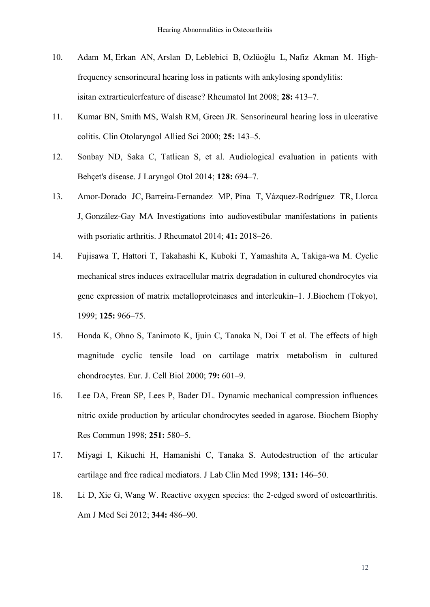- 10. [Adam M,](http://www.ncbi.nlm.nih.gov/pubmed/?term=Adam%20M%5BAuthor%5D&cauthor=true&cauthor_uid=17899090) [Erkan AN,](http://www.ncbi.nlm.nih.gov/pubmed/?term=Erkan%20AN%5BAuthor%5D&cauthor=true&cauthor_uid=17899090) Arslan D, [Leblebici B,](http://www.ncbi.nlm.nih.gov/pubmed/?term=Leblebici%20B%5BAuthor%5D&cauthor=true&cauthor_uid=17899090) [Ozlüoğlu L](http://www.ncbi.nlm.nih.gov/pubmed/?term=Ozl%C3%BCo%C4%9Flu%20L%5BAuthor%5D&cauthor=true&cauthor_uid=17899090), [Nafiz Akman M.](http://www.ncbi.nlm.nih.gov/pubmed/?term=Nafiz%20Akman%20M%5BAuthor%5D&cauthor=true&cauthor_uid=17899090) Highfrequency sensorineural hearing loss in patients with ankylosing spondylitis: isitan extrarticulerfeature of disease? [Rheumatol Int](http://www.ncbi.nlm.nih.gov/pubmed/?term=High-frequency+sensorineural+hearing+loss+in+patients+with+ankylosing+spondylitis%3A+is+it+an+extrarticuler+feature+of+disease%3F) 2008; **28:** 413–7.
- 11. Kumar BN, Smith MS, Walsh RM, Green JR. Sensorineural hearing loss in ulcerative colitis. Clin Otolaryngol Allied Sci 2000; **25:** 143–5.
- 12. Sonbay ND, Saka C, Tatlican S, et al. Audiological evaluation in patients with Behçet's disease. J Laryngol Otol 2014; **128:** 694–7.
- 13. Amor-Dorado JC, Barreira-Fernandez MP, Pina T, Vázquez-Rodríguez TR, Llorca J, González-Gay MA Investigations into audiovestibular manifestations in patients with psoriatic arthritis. J Rheumatol 2014; **41:** 2018–26.
- 14. Fujisawa T, Hattori T, Takahashi K, Kuboki T, Yamashita A, Takiga-wa M. Cyclic mechanical stres induces extracellular matrix degradation in cultured chondrocytes via gene expression of matrix metalloproteinases and interleukin–1. J.Biochem (Tokyo), 1999; **125:** 966–75.
- 15. Honda K, Ohno S, Tanimoto K, Ijuin C, Tanaka N, Doi T et al. The effects of high magnitude cyclic tensile load on cartilage matrix metabolism in cultured chondrocytes. Eur. J. Cell Biol 2000; **79:** 601–9.
- 16. Lee DA, Frean SP, Lees P, Bader DL. Dynamic mechanical compression influences nitric oxide production by articular chondrocytes seeded in agarose. Biochem Biophy Res Commun 1998; **251:** 580–5.
- 17. Miyagi I, Kikuchi H, Hamanishi C, Tanaka S. Autodestruction of the articular cartilage and free radical mediators. J Lab Clin Med 1998; **131:** 146–50.
- 18. [Li D,](http://www.ncbi.nlm.nih.gov/pubmed/?term=Li%20D%5BAuthor%5D&cauthor=true&cauthor_uid=22885622) [Xie G,](http://www.ncbi.nlm.nih.gov/pubmed/?term=Xie%20G%5BAuthor%5D&cauthor=true&cauthor_uid=22885622) [Wang W.](http://www.ncbi.nlm.nih.gov/pubmed/?term=Wang%20W%5BAuthor%5D&cauthor=true&cauthor_uid=22885622) Reactive oxygen species: the 2-edged sword of osteoarthritis. [Am J Med Sci](http://www.ncbi.nlm.nih.gov/pubmed/22885622) 2012; **344:** 486–90.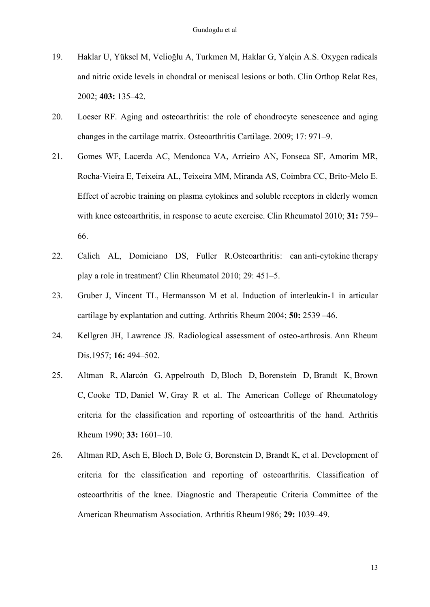- 19. Haklar U, Yüksel M, Velioğlu A, Turkmen M, Haklar G, Yalçin A.S. Oxygen radicals and nitric oxide levels in chondral or meniscal lesions or both. Clin Orthop Relat Res, 2002; **403:** 135–42.
- 20. Loeser RF. Aging and osteoarthritis: the role of chondrocyte senescence and aging changes in the cartilage matrix. Osteoarthritis Cartilage. 2009; 17: 971–9.
- 21. Gomes WF, Lacerda AC, Mendonca VA, Arrieiro AN, Fonseca SF, Amorim MR, Rocha-Vieira E, Teixeira AL, Teixeira MM, Miranda AS, Coimbra CC, Brito-Melo E. Effect of aerobic training on plasma cytokines and soluble receptors in elderly women with knee osteoarthritis, in response to acute exercise. Clin Rheumatol 2010; **31:** 759– 66.
- 22. Calich AL, Domiciano DS, Fuller R[.Osteoarthritis:](http://www.ncbi.nlm.nih.gov/pubmed/20108016) can anti-cytokine therapy play a role in [treatment?](http://www.ncbi.nlm.nih.gov/pubmed/20108016) Clin Rheumatol 2010; 29: 451–5.
- 23. Gruber J, Vincent TL, Hermansson M et al. Induction of interleukin-1 in articular cartilage by explantation and cutting. Arthritis Rheum 2004; **50:** 2539 –46.
- 24. Kellgren JH, Lawrence JS. Radiological assessment of osteo-arthrosis. Ann Rheum Dis.1957; **16:** 494–502.
- 25. [Altman R,](http://www.ncbi.nlm.nih.gov/pubmed/?term=Altman%20R%5BAuthor%5D&cauthor=true&cauthor_uid=2242058) [Alarcón G,](http://www.ncbi.nlm.nih.gov/pubmed/?term=Alarc%C3%B3n%20G%5BAuthor%5D&cauthor=true&cauthor_uid=2242058) [Appelrouth D,](http://www.ncbi.nlm.nih.gov/pubmed/?term=Appelrouth%20D%5BAuthor%5D&cauthor=true&cauthor_uid=2242058) [Bloch D,](http://www.ncbi.nlm.nih.gov/pubmed/?term=Bloch%20D%5BAuthor%5D&cauthor=true&cauthor_uid=2242058) [Borenstein D,](http://www.ncbi.nlm.nih.gov/pubmed/?term=Borenstein%20D%5BAuthor%5D&cauthor=true&cauthor_uid=2242058) [Brandt K,](http://www.ncbi.nlm.nih.gov/pubmed/?term=Brandt%20K%5BAuthor%5D&cauthor=true&cauthor_uid=2242058) [Brown](http://www.ncbi.nlm.nih.gov/pubmed/?term=Brown%20C%5BAuthor%5D&cauthor=true&cauthor_uid=2242058)  [C,](http://www.ncbi.nlm.nih.gov/pubmed/?term=Brown%20C%5BAuthor%5D&cauthor=true&cauthor_uid=2242058) [Cooke TD,](http://www.ncbi.nlm.nih.gov/pubmed/?term=Cooke%20TD%5BAuthor%5D&cauthor=true&cauthor_uid=2242058) [Daniel W,](http://www.ncbi.nlm.nih.gov/pubmed/?term=Daniel%20W%5BAuthor%5D&cauthor=true&cauthor_uid=2242058) [Gray R](http://www.ncbi.nlm.nih.gov/pubmed/?term=Gray%20R%5BAuthor%5D&cauthor=true&cauthor_uid=2242058) et al. The American College of Rheumatology criteria for the classification and reporting of osteoarthritis of the hand. [Arthritis](http://www.ncbi.nlm.nih.gov/pubmed/?term=Altman+R%2C+Alarc%C3%B3n+G%2C+Appelrouth+D%2C+Bloch+D%2C+Borenstein+D%2C+Brandt+K%2C+et+al.+The+American+College+of+Rheumatology+criteria+for+the+classification+and+reporting+of+osteoarthritis+of+the+hand.+Arthritis+Rheum+1990%3B33%3A1601---10)  [Rheum](http://www.ncbi.nlm.nih.gov/pubmed/?term=Altman+R%2C+Alarc%C3%B3n+G%2C+Appelrouth+D%2C+Bloch+D%2C+Borenstein+D%2C+Brandt+K%2C+et+al.+The+American+College+of+Rheumatology+criteria+for+the+classification+and+reporting+of+osteoarthritis+of+the+hand.+Arthritis+Rheum+1990%3B33%3A1601---10) 1990; **33:** 1601–10.
- 26. Altman RD, Asch E, Bloch D, Bole G, Borenstein D, Brandt K, et al. Development of criteria for the classification and reporting of osteoarthritis. Classification of osteoarthritis of the knee. Diagnostic and Therapeutic Criteria Committee of the American Rheumatism Association. Arthritis Rheum1986; **29:** 1039–49.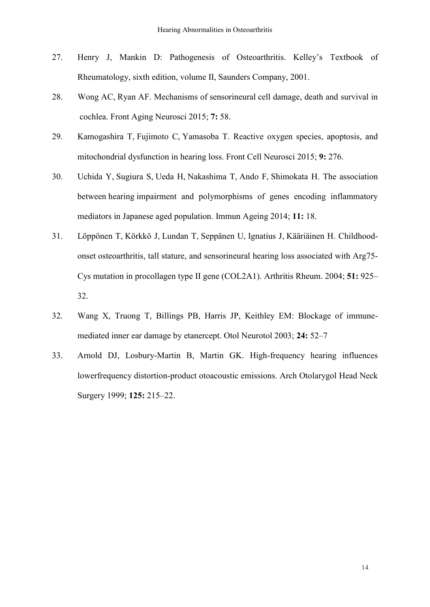- 27. Henry J, Mankin D: Pathogenesis of Osteoarthritis. Kelley's Textbook of Rheumatology, sixth edition, volume II, Saunders Company, 2001.
- 28. [Wong AC,](http://www.ncbi.nlm.nih.gov/pubmed/?term=Wong%20AC%5BAuthor%5D&cauthor=true&cauthor_uid=25954196) [Ryan AF.](http://www.ncbi.nlm.nih.gov/pubmed/?term=Ryan%20AF%5BAuthor%5D&cauthor=true&cauthor_uid=25954196) Mechanisms of sensorineural cell damage, death and survival in cochlea. [Front Aging Neurosci](http://www.ncbi.nlm.nih.gov/pubmed/25954196) 2015; **7:** 58.
- 29. [Kamogashira T,](http://www.ncbi.nlm.nih.gov/pubmed/?term=Kamogashira%20T%5BAuthor%5D&cauthor=true&cauthor_uid=25874222) [Fujimoto C,](http://www.ncbi.nlm.nih.gov/pubmed/?term=Fujimoto%20C%5BAuthor%5D&cauthor=true&cauthor_uid=25874222) [Yamasoba T.](http://www.ncbi.nlm.nih.gov/pubmed/?term=Yamasoba%20T%5BAuthor%5D&cauthor=true&cauthor_uid=25874222) Reactive oxygen species, apoptosis, and mitochondrial dysfunction in hearing loss. [Front Cell Neurosci](http://www.ncbi.nlm.nih.gov/pubmed/26283913) 2015; **9:** 276.
- 30. [Uchida Y,](http://www.ncbi.nlm.nih.gov/pubmed/?term=Uchida%20Y%5BAuthor%5D&cauthor=true&cauthor_uid=25469152) [Sugiura S,](http://www.ncbi.nlm.nih.gov/pubmed/?term=Sugiura%20S%5BAuthor%5D&cauthor=true&cauthor_uid=25469152) [Ueda H,](http://www.ncbi.nlm.nih.gov/pubmed/?term=Ueda%20H%5BAuthor%5D&cauthor=true&cauthor_uid=25469152) [Nakashima T,](http://www.ncbi.nlm.nih.gov/pubmed/?term=Nakashima%20T%5BAuthor%5D&cauthor=true&cauthor_uid=25469152) [Ando F,](http://www.ncbi.nlm.nih.gov/pubmed/?term=Ando%20F%5BAuthor%5D&cauthor=true&cauthor_uid=25469152) [Shimokata H.](http://www.ncbi.nlm.nih.gov/pubmed/?term=Shimokata%20H%5BAuthor%5D&cauthor=true&cauthor_uid=25469152) The association between hearing impairment and polymorphisms of genes encoding inflammatory mediators in Japanese aged population. [Immun Ageing](http://www.ncbi.nlm.nih.gov/pubmed/25469152) 2014; **11:** 18.
- 31. [Löppönen T,](http://www.ncbi.nlm.nih.gov/pubmed/?term=L%C3%B6pp%C3%B6nen%20T%5BAuthor%5D&cauthor=true&cauthor_uid=15593085) [Körkkö J,](http://www.ncbi.nlm.nih.gov/pubmed/?term=K%C3%B6rkk%C3%B6%20J%5BAuthor%5D&cauthor=true&cauthor_uid=15593085) [Lundan T,](http://www.ncbi.nlm.nih.gov/pubmed/?term=Lundan%20T%5BAuthor%5D&cauthor=true&cauthor_uid=15593085) [Seppänen U,](http://www.ncbi.nlm.nih.gov/pubmed/?term=Sepp%C3%A4nen%20U%5BAuthor%5D&cauthor=true&cauthor_uid=15593085) [Ignatius J,](http://www.ncbi.nlm.nih.gov/pubmed/?term=Ignatius%20J%5BAuthor%5D&cauthor=true&cauthor_uid=15593085) [Kääriäinen H.](http://www.ncbi.nlm.nih.gov/pubmed/?term=K%C3%A4%C3%A4ri%C3%A4inen%20H%5BAuthor%5D&cauthor=true&cauthor_uid=15593085) Childhoodonset osteoarthritis, tall stature, and sensorineural hearing loss associated with Arg75- Cys mutation in procollagen type II gene (COL2A1). [Arthritis Rheum.](http://www.ncbi.nlm.nih.gov/pubmed/?term=Arthritis+Rheum.+2004+Dec+15%3B51(6)%3A925-32.) 2004; **51:** 925– 32.
- 32. Wang X, Truong T, Billings PB, Harris JP, Keithley EM: Blockage of immunemediated inner ear damage by etanercept. Otol Neurotol 2003; **24:** 52–7
- 33. Arnold DJ, Losbury-Martin B, Martin GK. High-frequency hearing influences lowerfrequency distortion-product otoacoustic emissions. Arch Otolarygol Head Neck Surgery 1999; **125:** 215–22.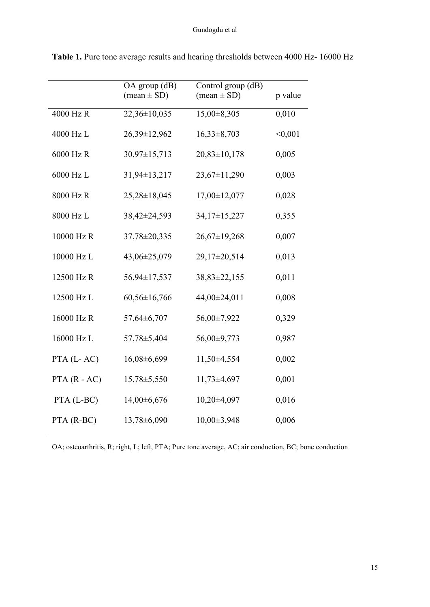|                | OA group (dB)<br>$(mean \pm SD)$ | Control group (dB)<br>$(mean \pm SD)$ | p value |
|----------------|----------------------------------|---------------------------------------|---------|
| 4000 Hz R      | 22,36±10,035                     | $15,00\pm8,305$                       | 0,010   |
| 4000 Hz L      | 26,39±12,962                     | $16,33\pm8,703$                       | < 0,001 |
| 6000 Hz R      | $30,97 \pm 15,713$               | $20,83 \pm 10,178$                    | 0,005   |
| 6000 Hz L      | 31,94±13,217                     | 23,67±11,290                          | 0,003   |
| 8000 Hz R      | $25,28 \pm 18,045$               | 17,00±12,077                          | 0,028   |
| 8000 Hz L      | 38,42±24,593                     | 34,17±15,227                          | 0,355   |
| 10000 Hz R     | 37,78±20,335                     | $26,67 \pm 19,268$                    | 0,007   |
| 10000 Hz L     | 43,06±25,079                     | 29,17±20,514                          | 0,013   |
| 12500 Hz R     | 56,94±17,537                     | 38,83±22,155                          | 0,011   |
| 12500 Hz L     | $60,56 \pm 16,766$               | 44,00±24,011                          | 0,008   |
| 16000 Hz R     | 57,64±6,707                      | 56,00±7,922                           | 0,329   |
| 16000 Hz L     | 57,78±5,404                      | 56,00±9,773                           | 0,987   |
| PTA (L-AC)     | 16,08±6,699                      | 11,50±4,554                           | 0,002   |
| $PTA (R - AC)$ | $15,78 \pm 5,550$                | $11,73\pm4,697$                       | 0,001   |
| PTA (L-BC)     | $14,00\pm6,676$                  | 10,20±4,097                           | 0,016   |
| PTA (R-BC)     | 13,78±6,090                      | 10,00±3,948                           | 0,006   |

**Table 1.** Pure tone average results and hearing thresholds between 4000 Hz- 16000 Hz

OA; osteoarthritis, R; right, L; left, PTA; Pure tone average, AC; air conduction, BC; bone conduction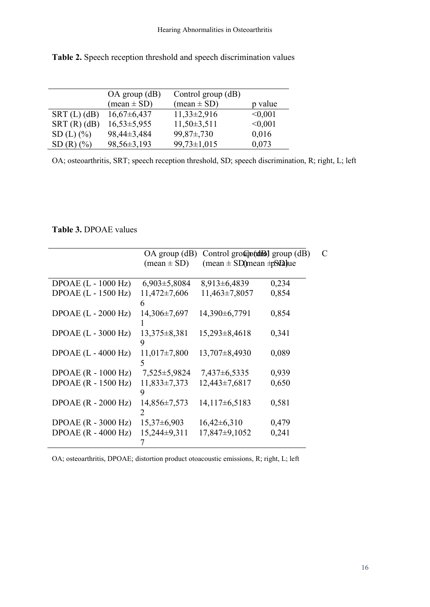|                                    | $OA$ group $(dB)$             | Control group (dB)            |         |
|------------------------------------|-------------------------------|-------------------------------|---------|
|                                    | $(\text{mean} \pm \text{SD})$ | $(\text{mean} \pm \text{SD})$ | p value |
| $SRT(L)$ (dB)                      | $16,67\pm 6,437$              | $11,33\pm2,916$               | < 0.001 |
| SRT(R)(dB)                         | $16,53\pm5,955$               | $11,50\pm3,511$               | < 0,001 |
| $SD(L)$ (%)                        | 98,44±3,484                   | $99,87\pm,730$                | 0,016   |
| $SD(R)$ $\left(\frac{9}{6}\right)$ | 98,56±3,193                   | $99,73 \pm 1,015$             | 0,073   |

**Table 2.** Speech reception threshold and speech discrimination values

OA; osteoarthritis, SRT; speech reception threshold, SD; speech discrimination, R; right, L; left

## **Table 3.** DPOAE values

| $(\text{mean} \pm \text{SD})$ | $(\text{mean} \pm \text{SD})$ mean $\pm \text{SN}$ a jue                                                                                    |                                                                                                                                                                           |
|-------------------------------|---------------------------------------------------------------------------------------------------------------------------------------------|---------------------------------------------------------------------------------------------------------------------------------------------------------------------------|
|                               |                                                                                                                                             |                                                                                                                                                                           |
|                               |                                                                                                                                             | 0,234                                                                                                                                                                     |
| $11,472\pm7,606$              | $11,463\pm7,8057$                                                                                                                           | 0,854                                                                                                                                                                     |
| 6                             |                                                                                                                                             |                                                                                                                                                                           |
| 14,306±7,697                  | 14,390±6,7791                                                                                                                               | 0,854                                                                                                                                                                     |
|                               |                                                                                                                                             |                                                                                                                                                                           |
| $13,375 \pm 8,381$            | $15,293\pm8,4618$                                                                                                                           | 0,341                                                                                                                                                                     |
| 9                             |                                                                                                                                             |                                                                                                                                                                           |
|                               |                                                                                                                                             | 0,089                                                                                                                                                                     |
| 5                             |                                                                                                                                             |                                                                                                                                                                           |
|                               | $7,437\pm 6,5335$                                                                                                                           | 0,939                                                                                                                                                                     |
|                               |                                                                                                                                             | 0,650                                                                                                                                                                     |
| 9                             |                                                                                                                                             |                                                                                                                                                                           |
|                               |                                                                                                                                             | 0,581                                                                                                                                                                     |
|                               |                                                                                                                                             |                                                                                                                                                                           |
|                               |                                                                                                                                             | 0,479                                                                                                                                                                     |
|                               |                                                                                                                                             | 0,241                                                                                                                                                                     |
|                               |                                                                                                                                             |                                                                                                                                                                           |
|                               | $6,903\pm5,8084$<br>$11,017\pm7,800$<br>7,525 ± 5,9824<br>$11,833\pm7,373$<br>$14,856\pm7,573$<br>2<br>$15,37\pm 6,903$<br>$15,244\pm9,311$ | $OA$ group (dB) Control group (dB) group (dB)<br>$8,913\pm6,4839$<br>$13,707\pm8,4930$<br>$12,443\pm7,6817$<br>$14,117\pm6,5183$<br>$16,42\pm 6,310$<br>$17,847\pm9,1052$ |

OA; osteoarthritis, DPOAE; distortion product otoacoustic emissions, R; right, L; left